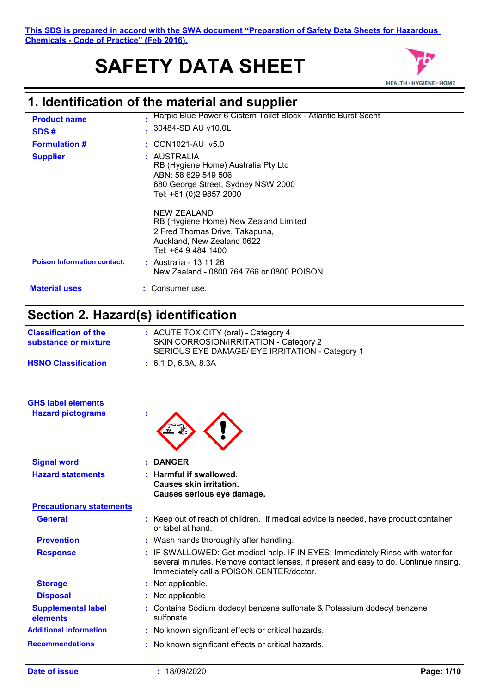**This SDS is prepared in accord with the SWA document "Preparation of Safety Data Sheets for Hazardous Chemicals - Code of Practice" (Feb 2016).**

# **SAFETY DATA SHEET**



# **1. Identification of the material and supplier**

| <b>Product name</b><br>SDS#        | Harpic Blue Power 6 Cistern Toilet Block - Atlantic Burst Scent<br>30484-SD AU v10.0L                                                              |
|------------------------------------|----------------------------------------------------------------------------------------------------------------------------------------------------|
| <b>Formulation #</b>               | $\therefore$ CON1021-AU v5.0                                                                                                                       |
| <b>Supplier</b>                    | : AUSTRALIA<br>RB (Hygiene Home) Australia Pty Ltd<br>ABN: 58 629 549 506<br>680 George Street, Sydney NSW 2000<br>Tel: +61 (0)2 9857 2000         |
|                                    | <b>NEW ZEALAND</b><br>RB (Hygiene Home) New Zealand Limited<br>2 Fred Thomas Drive, Takapuna,<br>Auckland, New Zealand 0622<br>Tel: +64 9 484 1400 |
| <b>Poison Information contact:</b> | : Australia - 13 11 26<br>New Zealand - 0800 764 766 or 0800 POISON                                                                                |
| <b>Material uses</b>               | Consumer use.                                                                                                                                      |
|                                    |                                                                                                                                                    |

### **Section 2. Hazard(s) identification**

| <b>Classification of the</b><br>substance or mixture | : ACUTE TOXICITY (oral) - Category 4<br>SKIN CORROSION/IRRITATION - Category 2<br>SERIOUS EYE DAMAGE/ EYE IRRITATION - Category 1                                                                                  |
|------------------------------------------------------|--------------------------------------------------------------------------------------------------------------------------------------------------------------------------------------------------------------------|
| <b>HSNO Classification</b>                           | : 6.1 D, 6.3 A, 8.3 A                                                                                                                                                                                              |
| <b>GHS label elements</b>                            |                                                                                                                                                                                                                    |
| <b>Hazard pictograms</b>                             |                                                                                                                                                                                                                    |
| <b>Signal word</b>                                   | <b>DANGER</b>                                                                                                                                                                                                      |
| <b>Hazard statements</b>                             | Harmful if swallowed.<br><b>Causes skin irritation.</b><br>Causes serious eye damage.                                                                                                                              |
| <b>Precautionary statements</b>                      |                                                                                                                                                                                                                    |
| <b>General</b>                                       | : Keep out of reach of children. If medical advice is needed, have product container<br>or label at hand.                                                                                                          |
| <b>Prevention</b>                                    | : Wash hands thoroughly after handling.                                                                                                                                                                            |
| <b>Response</b>                                      | : IF SWALLOWED: Get medical help. IF IN EYES: Immediately Rinse with water for<br>several minutes. Remove contact lenses, if present and easy to do. Continue rinsing.<br>Immediately call a POISON CENTER/doctor. |
| <b>Storage</b>                                       | : Not applicable.                                                                                                                                                                                                  |
| <b>Disposal</b>                                      | : Not applicable                                                                                                                                                                                                   |
| <b>Supplemental label</b><br>elements                | Contains Sodium dodecyl benzene sulfonate & Potassium dodecyl benzene<br>sulfonate.                                                                                                                                |
| <b>Additional information</b>                        | : No known significant effects or critical hazards.                                                                                                                                                                |
| <b>Recommendations</b>                               | : No known significant effects or critical hazards.                                                                                                                                                                |

**Date of issue :** 18/09/2020 **Page: 1/10**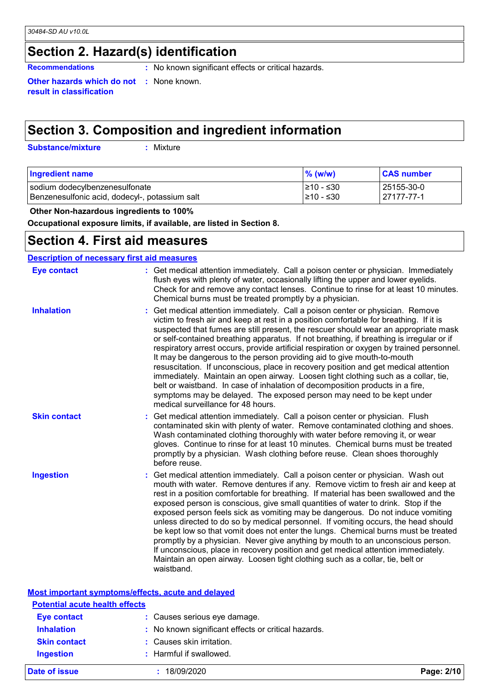### **Section 2. Hazard(s) identification**

**Recommendations** : No known significant effects or critical hazards.

**Other hazards which do not :** None known. **result in classification**

### **Section 3. Composition and ingredient information**

**Substance/mixture :**

: Mixture

| <b>Ingredient name</b>                         | $%$ (w/w)       | <b>CAS number</b> |
|------------------------------------------------|-----------------|-------------------|
| sodium dodecylbenzenesulfonate                 | 1≥10 - ≤30      | 25155-30-0        |
| Benzenesulfonic acid, dodecyl-, potassium salt | $\geq 10 - 530$ | 27177-77-1        |

 **Other Non-hazardous ingredients to 100%**

**Occupational exposure limits, if available, are listed in Section 8.**

### **Section 4. First aid measures**

| <b>Description of necessary first aid measures</b> |                                                                                                                                                                                                                                                                                                                                                                                                                                                                                                                                                                                                                                                                                                                                                                                                                                                                                                               |  |  |  |
|----------------------------------------------------|---------------------------------------------------------------------------------------------------------------------------------------------------------------------------------------------------------------------------------------------------------------------------------------------------------------------------------------------------------------------------------------------------------------------------------------------------------------------------------------------------------------------------------------------------------------------------------------------------------------------------------------------------------------------------------------------------------------------------------------------------------------------------------------------------------------------------------------------------------------------------------------------------------------|--|--|--|
| <b>Eye contact</b>                                 | : Get medical attention immediately. Call a poison center or physician. Immediately<br>flush eyes with plenty of water, occasionally lifting the upper and lower eyelids.<br>Check for and remove any contact lenses. Continue to rinse for at least 10 minutes.<br>Chemical burns must be treated promptly by a physician.                                                                                                                                                                                                                                                                                                                                                                                                                                                                                                                                                                                   |  |  |  |
| <b>Inhalation</b>                                  | Get medical attention immediately. Call a poison center or physician. Remove<br>victim to fresh air and keep at rest in a position comfortable for breathing. If it is<br>suspected that fumes are still present, the rescuer should wear an appropriate mask<br>or self-contained breathing apparatus. If not breathing, if breathing is irregular or if<br>respiratory arrest occurs, provide artificial respiration or oxygen by trained personnel.<br>It may be dangerous to the person providing aid to give mouth-to-mouth<br>resuscitation. If unconscious, place in recovery position and get medical attention<br>immediately. Maintain an open airway. Loosen tight clothing such as a collar, tie,<br>belt or waistband. In case of inhalation of decomposition products in a fire,<br>symptoms may be delayed. The exposed person may need to be kept under<br>medical surveillance for 48 hours. |  |  |  |
| <b>Skin contact</b>                                | : Get medical attention immediately. Call a poison center or physician. Flush<br>contaminated skin with plenty of water. Remove contaminated clothing and shoes.<br>Wash contaminated clothing thoroughly with water before removing it, or wear<br>gloves. Continue to rinse for at least 10 minutes. Chemical burns must be treated<br>promptly by a physician. Wash clothing before reuse. Clean shoes thoroughly<br>before reuse.                                                                                                                                                                                                                                                                                                                                                                                                                                                                         |  |  |  |
| <b>Ingestion</b>                                   | : Get medical attention immediately. Call a poison center or physician. Wash out<br>mouth with water. Remove dentures if any. Remove victim to fresh air and keep at<br>rest in a position comfortable for breathing. If material has been swallowed and the<br>exposed person is conscious, give small quantities of water to drink. Stop if the<br>exposed person feels sick as vomiting may be dangerous. Do not induce vomiting<br>unless directed to do so by medical personnel. If vomiting occurs, the head should<br>be kept low so that vomit does not enter the lungs. Chemical burns must be treated<br>promptly by a physician. Never give anything by mouth to an unconscious person.<br>If unconscious, place in recovery position and get medical attention immediately.<br>Maintain an open airway. Loosen tight clothing such as a collar, tie, belt or<br>waistband.                        |  |  |  |

| Most important symptoms/effects, acute and delayed |                                                     |            |  |
|----------------------------------------------------|-----------------------------------------------------|------------|--|
| <b>Potential acute health effects</b>              |                                                     |            |  |
| <b>Eye contact</b>                                 | : Causes serious eye damage.                        |            |  |
| <b>Inhalation</b>                                  | : No known significant effects or critical hazards. |            |  |
| <b>Skin contact</b>                                | : Causes skin irritation.                           |            |  |
| <b>Ingestion</b>                                   | : Harmful if swallowed.                             |            |  |
| Date of issue                                      | 18/09/2020                                          | Page: 2/10 |  |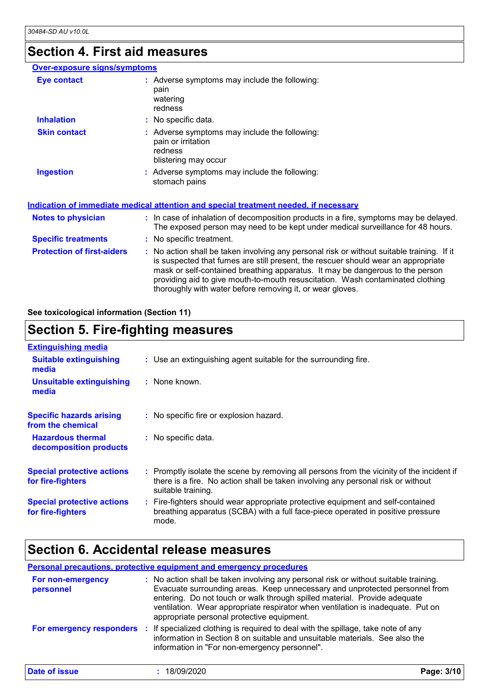### **Section 4. First aid measures**

#### **Over-exposure signs/symptoms**

| Eye contact                       | : Adverse symptoms may include the following:<br>pain<br>watering<br>redness                                                                                                                                                                                                                                                                                                                                    |
|-----------------------------------|-----------------------------------------------------------------------------------------------------------------------------------------------------------------------------------------------------------------------------------------------------------------------------------------------------------------------------------------------------------------------------------------------------------------|
| <b>Inhalation</b>                 | : No specific data.                                                                                                                                                                                                                                                                                                                                                                                             |
| <b>Skin contact</b>               | : Adverse symptoms may include the following:<br>pain or irritation<br>redness<br>blistering may occur                                                                                                                                                                                                                                                                                                          |
| <b>Ingestion</b>                  | : Adverse symptoms may include the following:<br>stomach pains                                                                                                                                                                                                                                                                                                                                                  |
|                                   | Indication of immediate medical attention and special treatment needed, if necessary                                                                                                                                                                                                                                                                                                                            |
| <b>Notes to physician</b>         | : In case of inhalation of decomposition products in a fire, symptoms may be delayed.<br>The exposed person may need to be kept under medical surveillance for 48 hours.                                                                                                                                                                                                                                        |
| <b>Specific treatments</b>        | : No specific treatment.                                                                                                                                                                                                                                                                                                                                                                                        |
| <b>Protection of first-aiders</b> | : No action shall be taken involving any personal risk or without suitable training. If it<br>is suspected that fumes are still present, the rescuer should wear an appropriate<br>mask or self-contained breathing apparatus. It may be dangerous to the person<br>providing aid to give mouth-to-mouth resuscitation. Wash contaminated clothing<br>thoroughly with water before removing it, or wear gloves. |

**See toxicological information (Section 11)**

### **Section 5. Fire-fighting measures**

| <b>Extinguishing media</b><br><b>Suitable extinguishing</b><br>: Use an extinguishing agent suitable for the surrounding fire.<br>media<br>: None known.<br><b>Unsuitable extinguishing</b><br>media                                                          |  |
|---------------------------------------------------------------------------------------------------------------------------------------------------------------------------------------------------------------------------------------------------------------|--|
|                                                                                                                                                                                                                                                               |  |
|                                                                                                                                                                                                                                                               |  |
|                                                                                                                                                                                                                                                               |  |
| <b>Specific hazards arising</b><br>: No specific fire or explosion hazard.<br>from the chemical                                                                                                                                                               |  |
| <b>Hazardous thermal</b><br>: No specific data.<br>decomposition products                                                                                                                                                                                     |  |
| : Promptly isolate the scene by removing all persons from the vicinity of the incident if<br><b>Special protective actions</b><br>there is a fire. No action shall be taken involving any personal risk or without<br>for fire-fighters<br>suitable training. |  |
| : Fire-fighters should wear appropriate protective equipment and self-contained<br><b>Special protective actions</b><br>breathing apparatus (SCBA) with a full face-piece operated in positive pressure<br>for fire-fighters<br>mode.                         |  |

### **Section 6. Accidental release measures**

**Personal precautions, protective equipment and emergency procedures :** No action shall be taken involving any personal risk or without suitable training. Evacuate surrounding areas. Keep unnecessary and unprotected personnel from entering. Do not touch or walk through spilled material. Provide adequate ventilation. Wear appropriate respirator when ventilation is inadequate. Put on appropriate personal protective equipment. **For non-emergency personnel For emergency responders :** If specialized clothing is required to deal with the spillage, take note of any information in Section 8 on suitable and unsuitable materials. See also the information in "For non-emergency personnel". **Date of issue :** 18/09/2020 **Page: 3/10**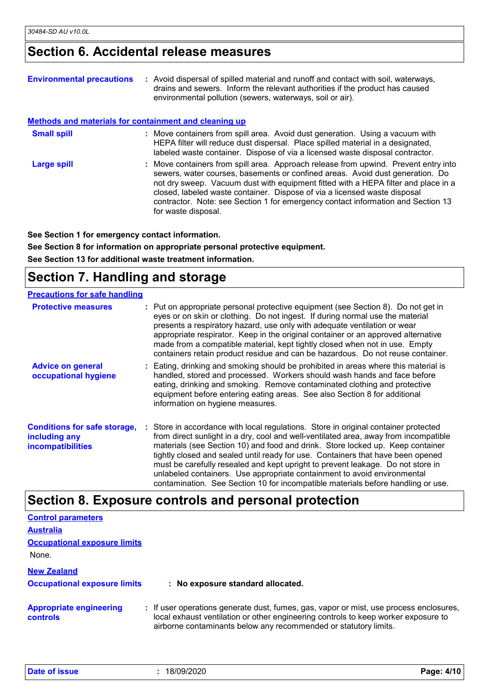### **Section 6. Accidental release measures**

| <b>Environmental precautions</b>                             | : Avoid dispersal of spilled material and runoff and contact with soil, waterways,<br>drains and sewers. Inform the relevant authorities if the product has caused<br>environmental pollution (sewers, waterways, soil or air).                                                                                                                                                                                                                    |
|--------------------------------------------------------------|----------------------------------------------------------------------------------------------------------------------------------------------------------------------------------------------------------------------------------------------------------------------------------------------------------------------------------------------------------------------------------------------------------------------------------------------------|
| <b>Methods and materials for containment and cleaning up</b> |                                                                                                                                                                                                                                                                                                                                                                                                                                                    |
| <b>Small spill</b>                                           | : Move containers from spill area. Avoid dust generation. Using a vacuum with<br>HEPA filter will reduce dust dispersal. Place spilled material in a designated,<br>labeled waste container. Dispose of via a licensed waste disposal contractor.                                                                                                                                                                                                  |
| <b>Large spill</b>                                           | : Move containers from spill area. Approach release from upwind. Prevent entry into<br>sewers, water courses, basements or confined areas. Avoid dust generation. Do<br>not dry sweep. Vacuum dust with equipment fitted with a HEPA filter and place in a<br>closed, labeled waste container. Dispose of via a licensed waste disposal<br>contractor. Note: see Section 1 for emergency contact information and Section 13<br>for waste disposal. |

**See Section 1 for emergency contact information.**

**See Section 8 for information on appropriate personal protective equipment.**

**See Section 13 for additional waste treatment information.**

### **Section 7. Handling and storage**

| <b>Precautions for safe handling</b>                                             |  |                                                                                                                                                                                                                                                                                                                                                                                                                                                                                                                                                                                                     |  |
|----------------------------------------------------------------------------------|--|-----------------------------------------------------------------------------------------------------------------------------------------------------------------------------------------------------------------------------------------------------------------------------------------------------------------------------------------------------------------------------------------------------------------------------------------------------------------------------------------------------------------------------------------------------------------------------------------------------|--|
| <b>Protective measures</b>                                                       |  | : Put on appropriate personal protective equipment (see Section 8). Do not get in<br>eyes or on skin or clothing. Do not ingest. If during normal use the material<br>presents a respiratory hazard, use only with adequate ventilation or wear<br>appropriate respirator. Keep in the original container or an approved alternative<br>made from a compatible material, kept tightly closed when not in use. Empty<br>containers retain product residue and can be hazardous. Do not reuse container.                                                                                              |  |
| <b>Advice on general</b><br>occupational hygiene                                 |  | : Eating, drinking and smoking should be prohibited in areas where this material is<br>handled, stored and processed. Workers should wash hands and face before<br>eating, drinking and smoking. Remove contaminated clothing and protective<br>equipment before entering eating areas. See also Section 8 for additional<br>information on hygiene measures.                                                                                                                                                                                                                                       |  |
| <b>Conditions for safe storage,</b><br>including any<br><b>incompatibilities</b> |  | : Store in accordance with local regulations. Store in original container protected<br>from direct sunlight in a dry, cool and well-ventilated area, away from incompatible<br>materials (see Section 10) and food and drink. Store locked up. Keep container<br>tightly closed and sealed until ready for use. Containers that have been opened<br>must be carefully resealed and kept upright to prevent leakage. Do not store in<br>unlabeled containers. Use appropriate containment to avoid environmental<br>contamination. See Section 10 for incompatible materials before handling or use. |  |

### **Section 8. Exposure controls and personal protection**

| <b>Control parameters</b>                  |                                                                                                                                                                                                                                                  |
|--------------------------------------------|--------------------------------------------------------------------------------------------------------------------------------------------------------------------------------------------------------------------------------------------------|
| <b>Australia</b>                           |                                                                                                                                                                                                                                                  |
| <b>Occupational exposure limits</b>        |                                                                                                                                                                                                                                                  |
| None.                                      |                                                                                                                                                                                                                                                  |
| <b>New Zealand</b>                         |                                                                                                                                                                                                                                                  |
| <b>Occupational exposure limits</b>        | : No exposure standard allocated.                                                                                                                                                                                                                |
| <b>Appropriate engineering</b><br>controls | : If user operations generate dust, fumes, gas, vapor or mist, use process enclosures,<br>local exhaust ventilation or other engineering controls to keep worker exposure to<br>airborne contaminants below any recommended or statutory limits. |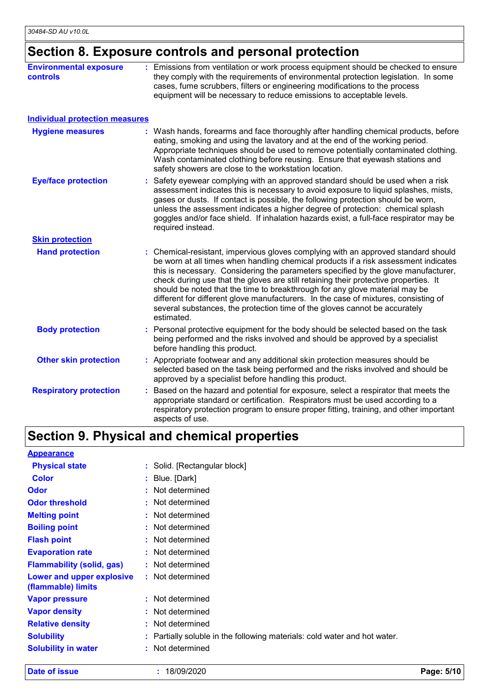## **Section 8. Exposure controls and personal protection**

|                                       | they comply with the requirements of environmental protection legislation. In some<br>cases, fume scrubbers, filters or engineering modifications to the process<br>equipment will be necessary to reduce emissions to acceptable levels.                                                                                                                                                                                                                                                                                                                                                                                 |
|---------------------------------------|---------------------------------------------------------------------------------------------------------------------------------------------------------------------------------------------------------------------------------------------------------------------------------------------------------------------------------------------------------------------------------------------------------------------------------------------------------------------------------------------------------------------------------------------------------------------------------------------------------------------------|
| <b>Individual protection measures</b> |                                                                                                                                                                                                                                                                                                                                                                                                                                                                                                                                                                                                                           |
| <b>Hygiene measures</b>               | : Wash hands, forearms and face thoroughly after handling chemical products, before<br>eating, smoking and using the lavatory and at the end of the working period.<br>Appropriate techniques should be used to remove potentially contaminated clothing.<br>Wash contaminated clothing before reusing. Ensure that eyewash stations and<br>safety showers are close to the workstation location.                                                                                                                                                                                                                         |
| <b>Eye/face protection</b>            | Safety eyewear complying with an approved standard should be used when a risk<br>assessment indicates this is necessary to avoid exposure to liquid splashes, mists,<br>gases or dusts. If contact is possible, the following protection should be worn,<br>unless the assessment indicates a higher degree of protection: chemical splash<br>goggles and/or face shield. If inhalation hazards exist, a full-face respirator may be<br>required instead.                                                                                                                                                                 |
| <b>Skin protection</b>                |                                                                                                                                                                                                                                                                                                                                                                                                                                                                                                                                                                                                                           |
| <b>Hand protection</b>                | : Chemical-resistant, impervious gloves complying with an approved standard should<br>be worn at all times when handling chemical products if a risk assessment indicates<br>this is necessary. Considering the parameters specified by the glove manufacturer,<br>check during use that the gloves are still retaining their protective properties. It<br>should be noted that the time to breakthrough for any glove material may be<br>different for different glove manufacturers. In the case of mixtures, consisting of<br>several substances, the protection time of the gloves cannot be accurately<br>estimated. |
| <b>Body protection</b>                | : Personal protective equipment for the body should be selected based on the task<br>being performed and the risks involved and should be approved by a specialist<br>before handling this product.                                                                                                                                                                                                                                                                                                                                                                                                                       |
| <b>Other skin protection</b>          | : Appropriate footwear and any additional skin protection measures should be<br>selected based on the task being performed and the risks involved and should be<br>approved by a specialist before handling this product.                                                                                                                                                                                                                                                                                                                                                                                                 |
| <b>Respiratory protection</b>         | : Based on the hazard and potential for exposure, select a respirator that meets the<br>appropriate standard or certification. Respirators must be used according to a<br>respiratory protection program to ensure proper fitting, training, and other important<br>aspects of use.                                                                                                                                                                                                                                                                                                                                       |

### **Section 9. Physical and chemical properties**

| <b>Appearance</b>                               |                                                                           |
|-------------------------------------------------|---------------------------------------------------------------------------|
| <b>Physical state</b>                           | : Solid. [Rectangular block]                                              |
| <b>Color</b>                                    | : Blue. [Dark]                                                            |
| <b>Odor</b>                                     | : Not determined                                                          |
| <b>Odor threshold</b>                           | : Not determined                                                          |
| <b>Melting point</b>                            | : Not determined                                                          |
| <b>Boiling point</b>                            | : Not determined                                                          |
| <b>Flash point</b>                              | : Not determined                                                          |
| <b>Evaporation rate</b>                         | : Not determined                                                          |
| <b>Flammability (solid, gas)</b>                | : Not determined                                                          |
| Lower and upper explosive<br>(flammable) limits | : Not determined                                                          |
| <b>Vapor pressure</b>                           | : Not determined                                                          |
| <b>Vapor density</b>                            | Not determined                                                            |
| <b>Relative density</b>                         | : Not determined                                                          |
| <b>Solubility</b>                               | : Partially soluble in the following materials: cold water and hot water. |
| <b>Solubility in water</b>                      | Not determined                                                            |

**Date of issue :** 18/09/2020 **Page: 5/10**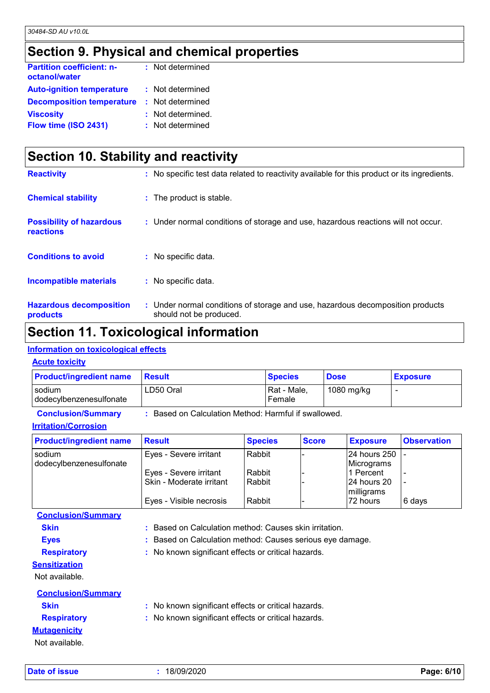### **Section 9. Physical and chemical properties**

| <b>Partition coefficient: n-</b><br>octanol/water | : Not determined  |
|---------------------------------------------------|-------------------|
| <b>Auto-ignition temperature</b>                  | : Not determined  |
| <b>Decomposition temperature</b>                  | : Not determined  |
| <b>Viscosity</b>                                  | : Not determined. |
| Flow time (ISO 2431)                              | : Not determined  |

| Section 10. Stability and reactivity                |                                                                                                           |  |  |
|-----------------------------------------------------|-----------------------------------------------------------------------------------------------------------|--|--|
| <b>Reactivity</b>                                   | : No specific test data related to reactivity available for this product or its ingredients.              |  |  |
| <b>Chemical stability</b>                           | : The product is stable.                                                                                  |  |  |
| <b>Possibility of hazardous</b><br><b>reactions</b> | : Under normal conditions of storage and use, hazardous reactions will not occur.                         |  |  |
| <b>Conditions to avoid</b>                          | : No specific data.                                                                                       |  |  |
| <b>Incompatible materials</b>                       | : No specific data.                                                                                       |  |  |
| <b>Hazardous decomposition</b><br><b>products</b>   | : Under normal conditions of storage and use, hazardous decomposition products<br>should not be produced. |  |  |

### **Section 11. Toxicological information**

#### **Information on toxicological effects**

#### **Acute toxicity**

| <b>Product/ingredient name</b>                                                  | <b>Result</b> | <b>Species</b>        | <b>Dose</b> | <b>Exposure</b> |
|---------------------------------------------------------------------------------|---------------|-----------------------|-------------|-----------------|
| sodium<br>dodecylbenzenesulfonate                                               | LD50 Oral     | Rat - Male,<br>Female | 1080 mg/kg  |                 |
| Based on Calculation Method: Harmful if swallowed.<br><b>Conclusion/Summary</b> |               |                       |             |                 |

#### **Irritation/Corrosion**

| <b>Product/ingredient name</b> | <b>Result</b>            | <b>Species</b> | <b>Score</b> | <b>Exposure</b> | <b>Observation</b> |
|--------------------------------|--------------------------|----------------|--------------|-----------------|--------------------|
| sodium                         | Eyes - Severe irritant   | Rabbit         |              | 24 hours 250    |                    |
| dodecylbenzenesulfonate        |                          |                |              | Micrograms      |                    |
|                                | Eyes - Severe irritant   | Rabbit         |              | l1 Percent      |                    |
|                                | Skin - Moderate irritant | Rabbit         |              | 124 hours 20    |                    |
|                                |                          |                |              | milligrams      |                    |
|                                | Eyes - Visible necrosis  | Rabbit         |              | 72 hours        | 6 days             |

**Conclusion/Summary**

**Skin :** Based on Calculation method: Causes skin irritation.

- **Eyes :** Based on Calculation method: Causes serious eye damage.
- **Respiratory :** No known significant effects or critical hazards.
- **Sensitization**

Not available.

| <b>Conclusion/Summary</b> |                                                     |
|---------------------------|-----------------------------------------------------|
| <b>Skin</b>               | : No known significant effects or critical hazards. |
| <b>Respiratory</b>        | : No known significant effects or critical hazards. |
| <b>Mutagenicity</b>       |                                                     |
| Not available.            |                                                     |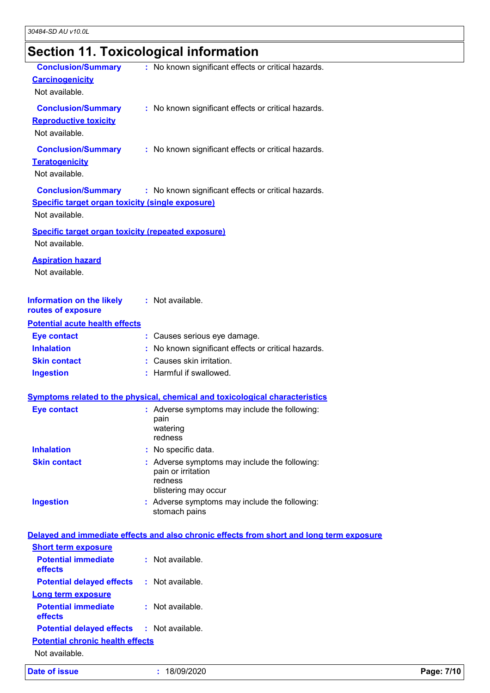# **Section 11. Toxicological information**

| <b>Conclusion/Summary</b><br><b>Carcinogenicity</b><br>Not available.                                  | : No known significant effects or critical hazards.                                                  |            |
|--------------------------------------------------------------------------------------------------------|------------------------------------------------------------------------------------------------------|------------|
| <b>Conclusion/Summary</b><br><b>Reproductive toxicity</b><br>Not available.                            | : No known significant effects or critical hazards.                                                  |            |
| <b>Conclusion/Summary</b><br><b>Teratogenicity</b><br>Not available.                                   | : No known significant effects or critical hazards.                                                  |            |
| <b>Conclusion/Summary</b><br><b>Specific target organ toxicity (single exposure)</b><br>Not available. | : No known significant effects or critical hazards.                                                  |            |
| <b>Specific target organ toxicity (repeated exposure)</b><br>Not available.                            |                                                                                                      |            |
| <b>Aspiration hazard</b><br>Not available.                                                             |                                                                                                      |            |
| <b>Information on the likely</b><br>routes of exposure                                                 | : Not available.                                                                                     |            |
| <b>Potential acute health effects</b>                                                                  |                                                                                                      |            |
| <b>Eye contact</b>                                                                                     | : Causes serious eye damage.                                                                         |            |
| <b>Inhalation</b>                                                                                      | : No known significant effects or critical hazards.                                                  |            |
| <b>Skin contact</b>                                                                                    | : Causes skin irritation.                                                                            |            |
| <b>Ingestion</b>                                                                                       | : Harmful if swallowed.                                                                              |            |
|                                                                                                        | <b>Symptoms related to the physical, chemical and toxicological characteristics</b>                  |            |
| <b>Eye contact</b>                                                                                     | : Adverse symptoms may include the following:                                                        |            |
|                                                                                                        | pain<br>watering<br>redness                                                                          |            |
| <b>Inhalation</b>                                                                                      | No specific data.                                                                                    |            |
| <b>Skin contact</b>                                                                                    | Adverse symptoms may include the following:<br>pain or irritation<br>redness<br>blistering may occur |            |
| <b>Ingestion</b>                                                                                       | : Adverse symptoms may include the following:<br>stomach pains                                       |            |
|                                                                                                        | Delayed and immediate effects and also chronic effects from short and long term exposure             |            |
| <b>Short term exposure</b>                                                                             |                                                                                                      |            |
| <b>Potential immediate</b><br>effects                                                                  | : Not available.                                                                                     |            |
| <b>Potential delayed effects</b>                                                                       | : Not available.                                                                                     |            |
| <b>Long term exposure</b>                                                                              |                                                                                                      |            |
| <b>Potential immediate</b><br>effects                                                                  | : Not available.                                                                                     |            |
| <b>Potential delayed effects</b>                                                                       | : Not available.                                                                                     |            |
| <b>Potential chronic health effects</b><br>Not available.                                              |                                                                                                      |            |
| <b>Date of issue</b>                                                                                   | 18/09/2020                                                                                           | Page: 7/10 |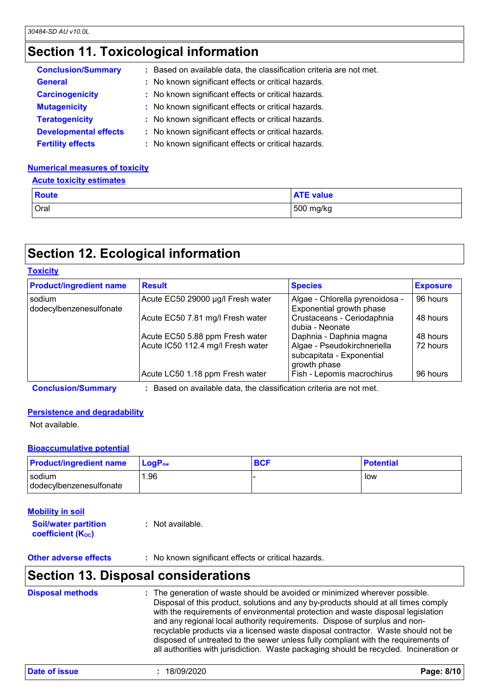### **Section 11. Toxicological information**

| <b>Conclusion/Summary</b>    | : Based on available data, the classification criteria are not met. |
|------------------------------|---------------------------------------------------------------------|
| <b>General</b>               | : No known significant effects or critical hazards.                 |
| <b>Carcinogenicity</b>       | : No known significant effects or critical hazards.                 |
| <b>Mutagenicity</b>          | : No known significant effects or critical hazards.                 |
| <b>Teratogenicity</b>        | : No known significant effects or critical hazards.                 |
| <b>Developmental effects</b> | : No known significant effects or critical hazards.                 |
| <b>Fertility effects</b>     | : No known significant effects or critical hazards.                 |

### **Numerical measures of toxicity**

#### **Acute toxicity estimates**

| <b>Route</b> | <b>ATE value</b> |
|--------------|------------------|
| Oral         | 500 mg/kg        |

### **Section 12. Ecological information**

| <b>Product/ingredient name</b>    | <b>Result</b>                     | <b>Species</b>                                                           | <b>Exposure</b> |
|-----------------------------------|-----------------------------------|--------------------------------------------------------------------------|-----------------|
| sodium<br>dodecylbenzenesulfonate | Acute EC50 29000 µg/l Fresh water | Algae - Chlorella pyrenoidosa -<br>Exponential growth phase              | 96 hours        |
|                                   | Acute EC50 7.81 mg/l Fresh water  | Crustaceans - Ceriodaphnia<br>dubia - Neonate                            | 48 hours        |
|                                   | Acute EC50 5.88 ppm Fresh water   | Daphnia - Daphnia magna                                                  | 48 hours        |
|                                   | Acute IC50 112.4 mg/l Fresh water | Algae - Pseudokirchneriella<br>subcapitata - Exponential<br>growth phase | 72 hours        |
|                                   | Acute LC50 1.18 ppm Fresh water   | Fish - Lepomis macrochirus                                               | 96 hours        |

**Conclusion/Summary :** Based on available data, the classification criteria are not met.

#### **Persistence and degradability**

Not available.

**Toxicity**

#### **Bioaccumulative potential**

| <b>Product/ingredient name</b>    | $\blacksquare$ Log $\mathsf{P}_{\mathsf{ow}}$ | <b>BCF</b> | <b>Potential</b> |
|-----------------------------------|-----------------------------------------------|------------|------------------|
| sodium<br>dodecylbenzenesulfonate | .96                                           |            | low              |

#### **Soil/water partition coefficient (Koc) :** Not available. **Mobility in soil**

**Other adverse effects** : No known significant effects or critical hazards.

### **Section 13. Disposal considerations**

| <b>Disposal methods</b> | : The generation of waste should be avoided or minimized wherever possible.            |
|-------------------------|----------------------------------------------------------------------------------------|
|                         | Disposal of this product, solutions and any by-products should at all times comply     |
|                         | with the requirements of environmental protection and waste disposal legislation       |
|                         | and any regional local authority requirements. Dispose of surplus and non-             |
|                         | recyclable products via a licensed waste disposal contractor. Waste should not be      |
|                         | disposed of untreated to the sewer unless fully compliant with the requirements of     |
|                         | all authorities with jurisdiction. Waste packaging should be recycled. Incineration or |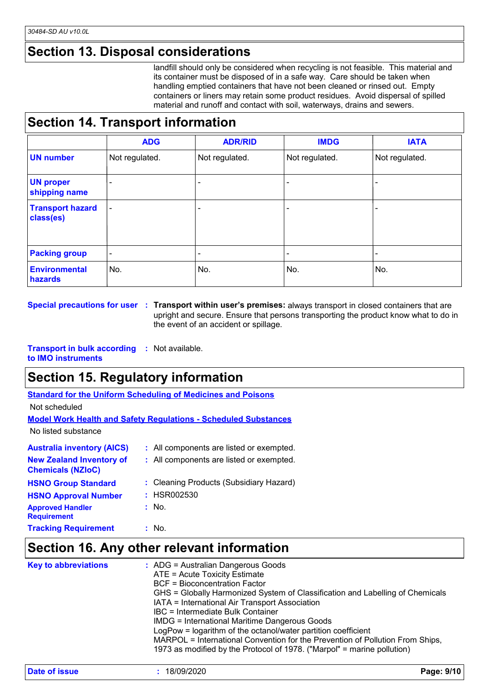### **Section 13. Disposal considerations**

landfill should only be considered when recycling is not feasible. This material and its container must be disposed of in a safe way. Care should be taken when handling emptied containers that have not been cleaned or rinsed out. Empty containers or liners may retain some product residues. Avoid dispersal of spilled material and runoff and contact with soil, waterways, drains and sewers.

### **Section 14. Transport information**

|                                      | <b>ADG</b>               | <b>ADR/RID</b>           | <b>IMDG</b>    | <b>IATA</b>    |
|--------------------------------------|--------------------------|--------------------------|----------------|----------------|
| <b>UN number</b>                     | Not regulated.           | Not regulated.           | Not regulated. | Not regulated. |
| <b>UN proper</b><br>shipping name    |                          | -                        |                |                |
| <b>Transport hazard</b><br>class(es) | $\overline{\phantom{a}}$ |                          |                |                |
| <b>Packing group</b>                 | $\overline{\phantom{0}}$ | $\overline{\phantom{0}}$ |                |                |
| <b>Environmental</b><br>hazards      | No.                      | No.                      | No.            | No.            |

**Special precautions for user Transport within user's premises:** always transport in closed containers that are **:** upright and secure. Ensure that persons transporting the product know what to do in the event of an accident or spillage.

**Transport in bulk according :** Not available. **to IMO instruments**

### **Section 15. Regulatory information**

**Standard for the Uniform Scheduling of Medicines and Poisons**

Not scheduled

|--|

No listed substance

| <b>Australia inventory (AICS)</b>                           | : All components are listed or exempted. |
|-------------------------------------------------------------|------------------------------------------|
| <b>New Zealand Inventory of</b><br><b>Chemicals (NZIoC)</b> | : All components are listed or exempted. |
| <b>HSNO Group Standard</b>                                  | : Cleaning Products (Subsidiary Hazard)  |
| <b>HSNO Approval Number</b>                                 | : HSR002530                              |
| <b>Approved Handler</b><br><b>Requirement</b>               | : No.                                    |
| <b>Tracking Requirement</b>                                 | : No.                                    |

### **Section 16. Any other relevant information**

| <b>Key to abbreviations</b> | : ADG = Australian Dangerous Goods<br>ATE = Acute Toxicity Estimate<br>BCF = Bioconcentration Factor<br>GHS = Globally Harmonized System of Classification and Labelling of Chemicals<br>IATA = International Air Transport Association<br>IBC = Intermediate Bulk Container<br><b>IMDG = International Maritime Dangerous Goods</b><br>LogPow = logarithm of the octanol/water partition coefficient<br>MARPOL = International Convention for the Prevention of Pollution From Ships,<br>1973 as modified by the Protocol of 1978. ("Marpol" = marine pollution) |
|-----------------------------|-------------------------------------------------------------------------------------------------------------------------------------------------------------------------------------------------------------------------------------------------------------------------------------------------------------------------------------------------------------------------------------------------------------------------------------------------------------------------------------------------------------------------------------------------------------------|
|                             |                                                                                                                                                                                                                                                                                                                                                                                                                                                                                                                                                                   |